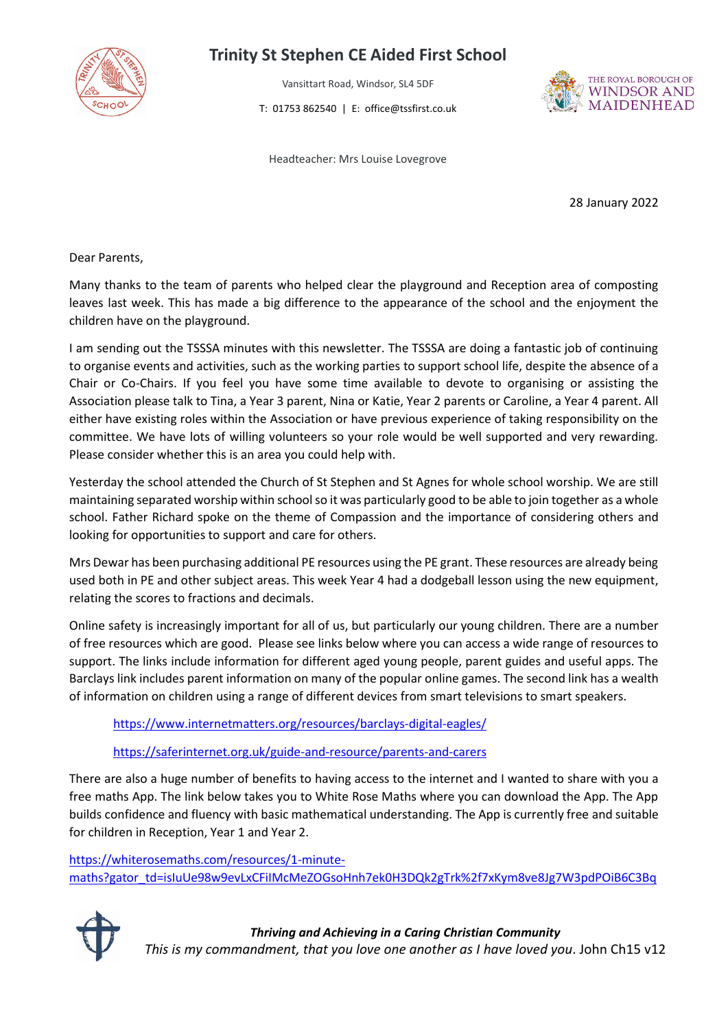

## **Trinity St Stephen CE Aided First School**

Vansittart Road, Windsor, SL4 5DF

T: 01753 862540 | E: office@tssfirst.co.uk



Headteacher: Mrs Louise Lovegrove

28 January 2022

Dear Parents,

Many thanks to the team of parents who helped clear the playground and Reception area of composting leaves last week. This has made a big difference to the appearance of the school and the enjoyment the children have on the playground.

I am sending out the TSSSA minutes with this newsletter. The TSSSA are doing a fantastic job of continuing to organise events and activities, such as the working parties to support school life, despite the absence of a Chair or Co-Chairs. If you feel you have some time available to devote to organising or assisting the Association please talk to Tina, a Year 3 parent, Nina or Katie, Year 2 parents or Caroline, a Year 4 parent. All either have existing roles within the Association or have previous experience of taking responsibility on the committee. We have lots of willing volunteers so your role would be well supported and very rewarding. Please consider whether this is an area you could help with.

Yesterday the school attended the Church of St Stephen and St Agnes for whole school worship. We are still maintaining separated worship within school so it was particularly good to be able to join together as a whole school. Father Richard spoke on the theme of Compassion and the importance of considering others and looking for opportunities to support and care for others.

Mrs Dewar has been purchasing additional PE resources using the PE grant. These resources are already being used both in PE and other subject areas. This week Year 4 had a dodgeball lesson using the new equipment, relating the scores to fractions and decimals.

Online safety is increasingly important for all of us, but particularly our young children. There are a number of free resources which are good. Please see links below where you can access a wide range of resources to support. The links include information for different aged young people, parent guides and useful apps. The Barclays link includes parent information on many of the popular online games. The second link has a wealth of information on children using a range of different devices from smart televisions to smart speakers.

<https://www.internetmatters.org/resources/barclays-digital-eagles/>

<https://saferinternet.org.uk/guide-and-resource/parents-and-carers>

There are also a huge number of benefits to having access to the internet and I wanted to share with you a free maths App. The link below takes you to White Rose Maths where you can download the App. The App builds confidence and fluency with basic mathematical understanding. The App is currently free and suitable for children in Reception, Year 1 and Year 2.

[https://whiterosemaths.com/resources/1-minute](https://whiterosemaths.com/resources/1-minute-maths?gator_td=isIuUe98w9evLxCFiIMcMeZOGsoHnh7ek0H3DQk2gTrk%2f7xKym8ve8Jg7W3pdPOiB6C3BqFSwPu2p6tvLMmxAFY2J5r8FbcUs1jBt9yTOlifcV8M6VwqhmeNRf9m8blargq3Gai0hGi6eZw4c2YlEtbjLxvsgEbsmErgXSb47Bz%2fJb8q5j3L5xFi9jIMv8iSeeEgI9vURCBOdI0vMb%2fuev0P6B7rAu27xA2eSCT5GGc%3d#download)[maths?gator\\_td=isIuUe98w9evLxCFiIMcMeZOGsoHnh7ek0H3DQk2gTrk%2f7xKym8ve8Jg7W3pdPOiB6C3Bq](https://whiterosemaths.com/resources/1-minute-maths?gator_td=isIuUe98w9evLxCFiIMcMeZOGsoHnh7ek0H3DQk2gTrk%2f7xKym8ve8Jg7W3pdPOiB6C3BqFSwPu2p6tvLMmxAFY2J5r8FbcUs1jBt9yTOlifcV8M6VwqhmeNRf9m8blargq3Gai0hGi6eZw4c2YlEtbjLxvsgEbsmErgXSb47Bz%2fJb8q5j3L5xFi9jIMv8iSeeEgI9vURCBOdI0vMb%2fuev0P6B7rAu27xA2eSCT5GGc%3d#download)



## *Thriving and Achieving in a Caring Christian Community*

*This is my commandment, that you love one another as I have loved you*. John Ch15 v12